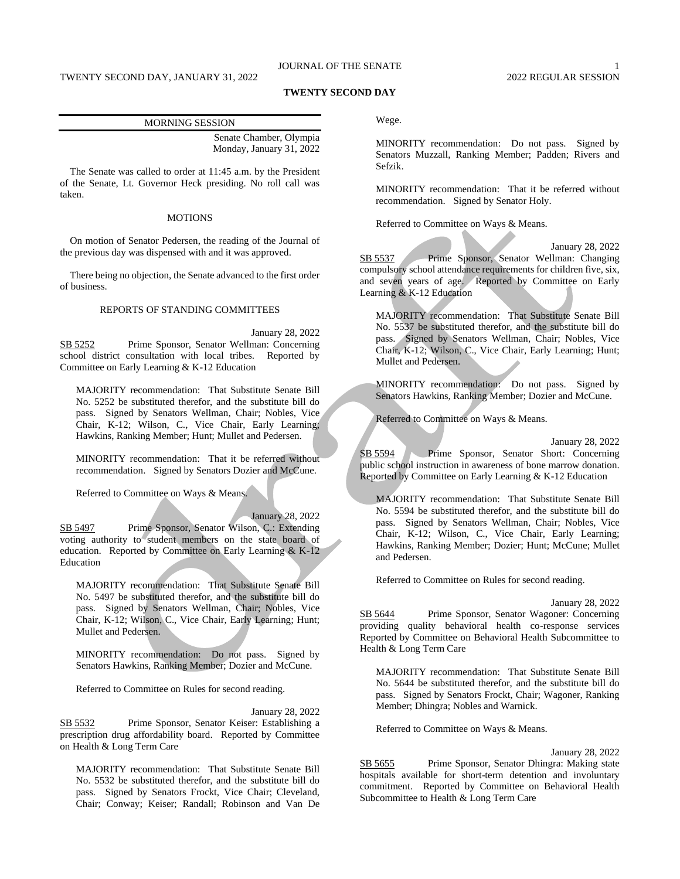# JOURNAL OF THE SENATE 1

### **TWENTY SECOND DAY**

| <b>MORNING SESSION</b> |                          |
|------------------------|--------------------------|
|                        | Senate Chamber, Olympia  |
|                        | Monday, January 31, 2022 |

The Senate was called to order at 11:45 a.m. by the President of the Senate, Lt. Governor Heck presiding. No roll call was taken.

## MOTIONS

On motion of Senator Pedersen, the reading of the Journal of the previous day was dispensed with and it was approved.

There being no objection, the Senate advanced to the first order of business.

## REPORTS OF STANDING COMMITTEES

January 28, 2022 SB 5252 Prime Sponsor, Senator Wellman: Concerning school district consultation with local tribes. Reported by Committee on Early Learning & K-12 Education

MAJORITY recommendation: That Substitute Senate Bill No. 5252 be substituted therefor, and the substitute bill do pass. Signed by Senators Wellman, Chair; Nobles, Vice Chair, K-12; Wilson, C., Vice Chair, Early Learning; Hawkins, Ranking Member; Hunt; Mullet and Pedersen.

MINORITY recommendation: That it be referred without recommendation. Signed by Senators Dozier and McCune.

Referred to Committee on Ways & Means.

January 28, 2022 SB 5497 Prime Sponsor, Senator Wilson, C.: Extending

voting authority to student members on the state board of education. Reported by Committee on Early Learning & K-12 Education

MAJORITY recommendation: That Substitute Senate Bill No. 5497 be substituted therefor, and the substitute bill do pass. Signed by Senators Wellman, Chair; Nobles, Vice Chair, K-12; Wilson, C., Vice Chair, Early Learning; Hunt; Mullet and Pedersen.

MINORITY recommendation: Do not pass. Signed by Senators Hawkins, Ranking Member; Dozier and McCune.

Referred to Committee on Rules for second reading.

January 28, 2022

SB 5532 Prime Sponsor, Senator Keiser: Establishing a prescription drug affordability board. Reported by Committee on Health & Long Term Care

MAJORITY recommendation: That Substitute Senate Bill No. 5532 be substituted therefor, and the substitute bill do pass. Signed by Senators Frockt, Vice Chair; Cleveland, Chair; Conway; Keiser; Randall; Robinson and Van De Wege.

MINORITY recommendation: Do not pass. Signed by Senators Muzzall, Ranking Member; Padden; Rivers and Sefzik.

MINORITY recommendation: That it be referred without recommendation. Signed by Senator Holy.

Referred to Committee on Ways & Means.

January 28, 2022 SB 5537 Prime Sponsor, Senator Wellman: Changing compulsory school attendance requirements for children five, six, and seven years of age. Reported by Committee on Early Learning & K-12 Education

MAJORITY recommendation: That Substitute Senate Bill No. 5537 be substituted therefor, and the substitute bill do pass. Signed by Senators Wellman, Chair; Nobles, Vice Chair, K-12; Wilson, C., Vice Chair, Early Learning; Hunt; Mullet and Pedersen.

MINORITY recommendation: Do not pass. Signed by Senators Hawkins, Ranking Member; Dozier and McCune.

Referred to Committee on Ways & Means.

January 28, 2022 SB 5594 Prime Sponsor, Senator Short: Concerning public school instruction in awareness of bone marrow donation. Reported by Committee on Early Learning & K-12 Education

MAJORITY recommendation: That Substitute Senate Bill No. 5594 be substituted therefor, and the substitute bill do pass. Signed by Senators Wellman, Chair; Nobles, Vice Chair, K-12; Wilson, C., Vice Chair, Early Learning; Hawkins, Ranking Member; Dozier; Hunt; McCune; Mullet and Pedersen.

Referred to Committee on Rules for second reading.

January 28, 2022 SB 5644 Prime Sponsor, Senator Wagoner: Concerning providing quality behavioral health co-response services Reported by Committee on Behavioral Health Subcommittee to Health & Long Term Care

MAJORITY recommendation: That Substitute Senate Bill No. 5644 be substituted therefor, and the substitute bill do pass. Signed by Senators Frockt, Chair; Wagoner, Ranking Member; Dhingra; Nobles and Warnick.

Referred to Committee on Ways & Means.

January 28, 2022

SB 5655 Prime Sponsor, Senator Dhingra: Making state hospitals available for short-term detention and involuntary commitment. Reported by Committee on Behavioral Health Subcommittee to Health & Long Term Care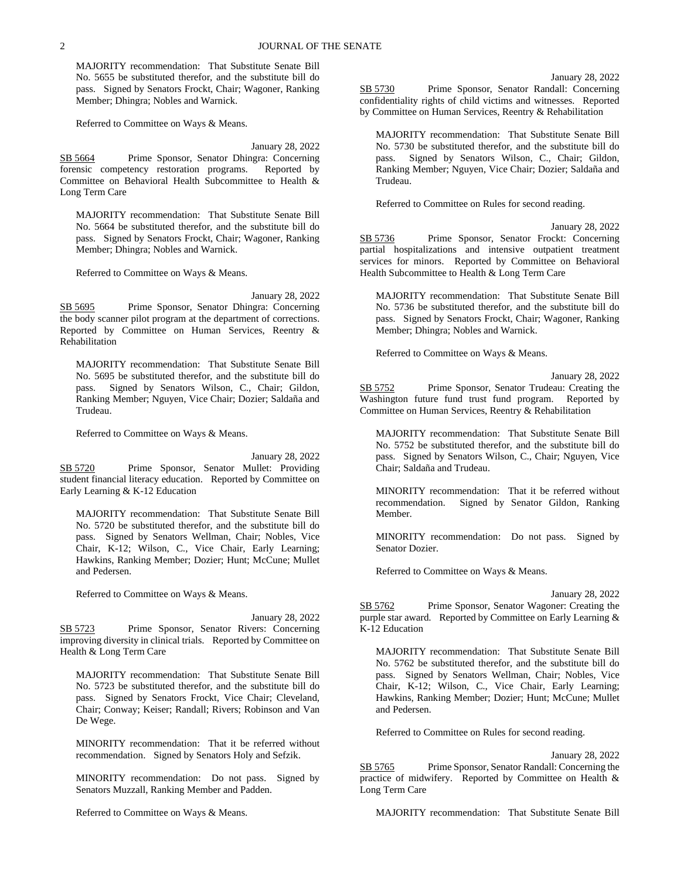MAJORITY recommendation: That Substitute Senate Bill No. 5655 be substituted therefor, and the substitute bill do pass. Signed by Senators Frockt, Chair; Wagoner, Ranking Member; Dhingra; Nobles and Warnick.

Referred to Committee on Ways & Means.

January 28, 2022 SB 5664 Prime Sponsor, Senator Dhingra: Concerning forensic competency restoration programs. Reported by Committee on Behavioral Health Subcommittee to Health & Long Term Care

MAJORITY recommendation: That Substitute Senate Bill No. 5664 be substituted therefor, and the substitute bill do pass. Signed by Senators Frockt, Chair; Wagoner, Ranking Member; Dhingra; Nobles and Warnick.

Referred to Committee on Ways & Means.

January 28, 2022

SB 5695 Prime Sponsor, Senator Dhingra: Concerning the body scanner pilot program at the department of corrections. Reported by Committee on Human Services, Reentry & Rehabilitation

MAJORITY recommendation: That Substitute Senate Bill No. 5695 be substituted therefor, and the substitute bill do pass. Signed by Senators Wilson, C., Chair; Gildon, Ranking Member; Nguyen, Vice Chair; Dozier; Saldaña and Trudeau.

Referred to Committee on Ways & Means.

January 28, 2022 SB 5720 Prime Sponsor, Senator Mullet: Providing student financial literacy education. Reported by Committee on Early Learning & K-12 Education

MAJORITY recommendation: That Substitute Senate Bill No. 5720 be substituted therefor, and the substitute bill do pass. Signed by Senators Wellman, Chair; Nobles, Vice Chair, K-12; Wilson, C., Vice Chair, Early Learning; Hawkins, Ranking Member; Dozier; Hunt; McCune; Mullet and Pedersen.

Referred to Committee on Ways & Means.

January 28, 2022 SB 5723 Prime Sponsor, Senator Rivers: Concerning improving diversity in clinical trials. Reported by Committee on Health & Long Term Care

MAJORITY recommendation: That Substitute Senate Bill No. 5723 be substituted therefor, and the substitute bill do pass. Signed by Senators Frockt, Vice Chair; Cleveland, Chair; Conway; Keiser; Randall; Rivers; Robinson and Van De Wege.

MINORITY recommendation: That it be referred without recommendation. Signed by Senators Holy and Sefzik.

MINORITY recommendation: Do not pass. Signed by Senators Muzzall, Ranking Member and Padden.

Referred to Committee on Ways & Means.

January 28, 2022

SB 5730 Prime Sponsor, Senator Randall: Concerning confidentiality rights of child victims and witnesses. Reported by Committee on Human Services, Reentry & Rehabilitation

MAJORITY recommendation: That Substitute Senate Bill No. 5730 be substituted therefor, and the substitute bill do pass. Signed by Senators Wilson, C., Chair; Gildon, Ranking Member; Nguyen, Vice Chair; Dozier; Saldaña and Trudeau.

Referred to Committee on Rules for second reading.

January 28, 2022 SB 5736 Prime Sponsor, Senator Frockt: Concerning partial hospitalizations and intensive outpatient treatment services for minors. Reported by Committee on Behavioral Health Subcommittee to Health & Long Term Care

MAJORITY recommendation: That Substitute Senate Bill No. 5736 be substituted therefor, and the substitute bill do pass. Signed by Senators Frockt, Chair; Wagoner, Ranking Member; Dhingra; Nobles and Warnick.

Referred to Committee on Ways & Means.

January 28, 2022

SB 5752 Prime Sponsor, Senator Trudeau: Creating the Washington future fund trust fund program. Reported by Committee on Human Services, Reentry & Rehabilitation

MAJORITY recommendation: That Substitute Senate Bill No. 5752 be substituted therefor, and the substitute bill do pass. Signed by Senators Wilson, C., Chair; Nguyen, Vice Chair; Saldaña and Trudeau.

MINORITY recommendation: That it be referred without recommendation. Signed by Senator Gildon, Ranking Member.

MINORITY recommendation: Do not pass. Signed by Senator Dozier.

Referred to Committee on Ways & Means.

January 28, 2022 SB 5762 Prime Sponsor, Senator Wagoner: Creating the purple star award. Reported by Committee on Early Learning & K-12 Education

MAJORITY recommendation: That Substitute Senate Bill No. 5762 be substituted therefor, and the substitute bill do pass. Signed by Senators Wellman, Chair; Nobles, Vice Chair, K-12; Wilson, C., Vice Chair, Early Learning; Hawkins, Ranking Member; Dozier; Hunt; McCune; Mullet and Pedersen.

Referred to Committee on Rules for second reading.

January 28, 2022 SB 5765 Prime Sponsor, Senator Randall: Concerning the practice of midwifery. Reported by Committee on Health & Long Term Care

MAJORITY recommendation: That Substitute Senate Bill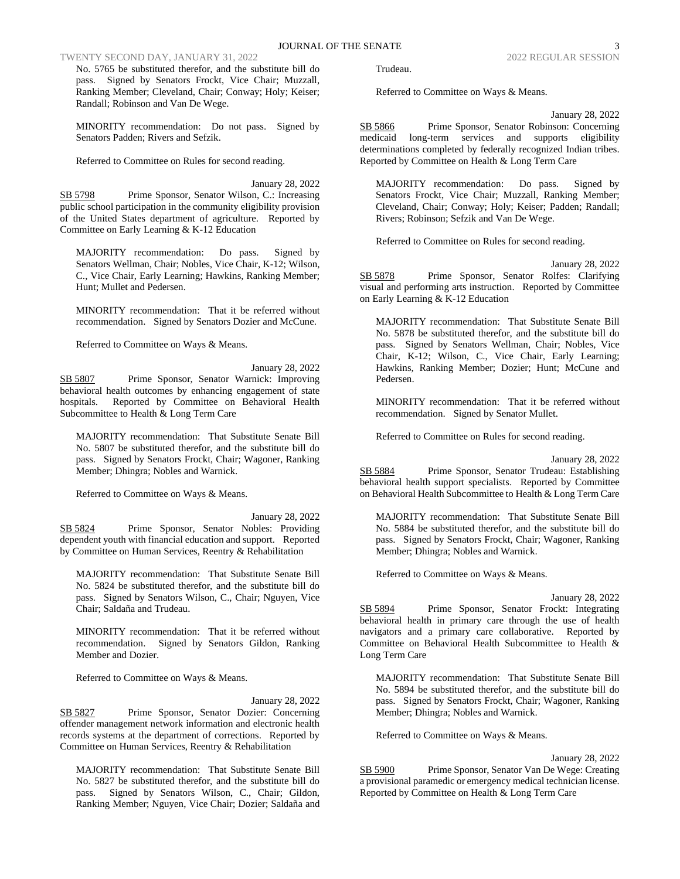## TWENTY SECOND DAY, JANUARY 31, 2022 2022 2022 2022 2022 REGULAR SESSION

No. 5765 be substituted therefor, and the substitute bill do pass. Signed by Senators Frockt, Vice Chair; Muzzall, Ranking Member; Cleveland, Chair; Conway; Holy; Keiser; Randall; Robinson and Van De Wege.

MINORITY recommendation: Do not pass. Signed by Senators Padden; Rivers and Sefzik.

Referred to Committee on Rules for second reading.

January 28, 2022 SB 5798 Prime Sponsor, Senator Wilson, C.: Increasing public school participation in the community eligibility provision of the United States department of agriculture. Reported by Committee on Early Learning & K-12 Education

MAJORITY recommendation: Do pass. Signed by Senators Wellman, Chair; Nobles, Vice Chair, K-12; Wilson, C., Vice Chair, Early Learning; Hawkins, Ranking Member; Hunt; Mullet and Pedersen.

MINORITY recommendation: That it be referred without recommendation. Signed by Senators Dozier and McCune.

Referred to Committee on Ways & Means.

January 28, 2022 SB 5807 Prime Sponsor, Senator Warnick: Improving behavioral health outcomes by enhancing engagement of state hospitals. Reported by Committee on Behavioral Health Subcommittee to Health & Long Term Care

MAJORITY recommendation: That Substitute Senate Bill No. 5807 be substituted therefor, and the substitute bill do pass. Signed by Senators Frockt, Chair; Wagoner, Ranking Member; Dhingra; Nobles and Warnick.

Referred to Committee on Ways & Means.

January 28, 2022 SB 5824 Prime Sponsor, Senator Nobles: Providing dependent youth with financial education and support. Reported by Committee on Human Services, Reentry & Rehabilitation

MAJORITY recommendation: That Substitute Senate Bill No. 5824 be substituted therefor, and the substitute bill do pass. Signed by Senators Wilson, C., Chair; Nguyen, Vice Chair; Saldaña and Trudeau.

MINORITY recommendation: That it be referred without recommendation. Signed by Senators Gildon, Ranking Member and Dozier.

Referred to Committee on Ways & Means.

January 28, 2022 SB 5827 Prime Sponsor, Senator Dozier: Concerning offender management network information and electronic health records systems at the department of corrections. Reported by Committee on Human Services, Reentry & Rehabilitation

MAJORITY recommendation: That Substitute Senate Bill No. 5827 be substituted therefor, and the substitute bill do pass. Signed by Senators Wilson, C., Chair; Gildon, Ranking Member; Nguyen, Vice Chair; Dozier; Saldaña and Trudeau.

Referred to Committee on Ways & Means.

January 28, 2022 SB 5866 Prime Sponsor, Senator Robinson: Concerning medicaid long-term services and supports eligibility determinations completed by federally recognized Indian tribes. Reported by Committee on Health & Long Term Care

MAJORITY recommendation: Do pass. Signed by Senators Frockt, Vice Chair; Muzzall, Ranking Member; Cleveland, Chair; Conway; Holy; Keiser; Padden; Randall; Rivers; Robinson; Sefzik and Van De Wege.

Referred to Committee on Rules for second reading.

January 28, 2022 SB 5878 Prime Sponsor, Senator Rolfes: Clarifying visual and performing arts instruction. Reported by Committee on Early Learning & K-12 Education

MAJORITY recommendation: That Substitute Senate Bill No. 5878 be substituted therefor, and the substitute bill do pass. Signed by Senators Wellman, Chair; Nobles, Vice Chair, K-12; Wilson, C., Vice Chair, Early Learning; Hawkins, Ranking Member; Dozier; Hunt; McCune and Pedersen.

MINORITY recommendation: That it be referred without recommendation. Signed by Senator Mullet.

Referred to Committee on Rules for second reading.

January 28, 2022

SB 5884 Prime Sponsor, Senator Trudeau: Establishing behavioral health support specialists. Reported by Committee on Behavioral Health Subcommittee to Health & Long Term Care

MAJORITY recommendation: That Substitute Senate Bill No. 5884 be substituted therefor, and the substitute bill do pass. Signed by Senators Frockt, Chair; Wagoner, Ranking Member; Dhingra; Nobles and Warnick.

Referred to Committee on Ways & Means.

January 28, 2022 SB 5894 Prime Sponsor, Senator Frockt: Integrating behavioral health in primary care through the use of health navigators and a primary care collaborative. Reported by Committee on Behavioral Health Subcommittee to Health & Long Term Care

MAJORITY recommendation: That Substitute Senate Bill No. 5894 be substituted therefor, and the substitute bill do pass. Signed by Senators Frockt, Chair; Wagoner, Ranking Member; Dhingra; Nobles and Warnick.

Referred to Committee on Ways & Means.

January 28, 2022 SB 5900 Prime Sponsor, Senator Van De Wege: Creating a provisional paramedic or emergency medical technician license. Reported by Committee on Health & Long Term Care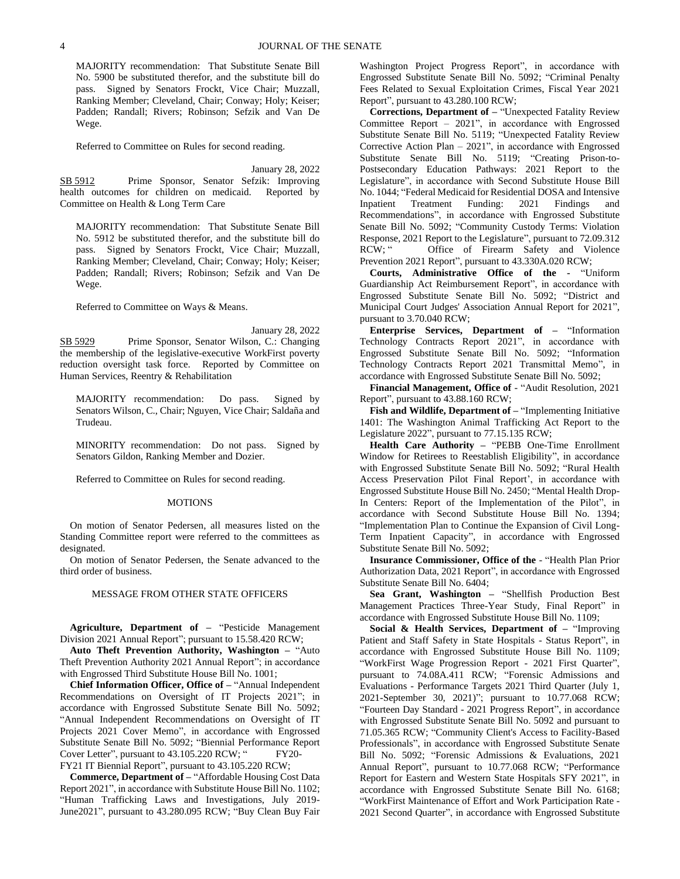MAJORITY recommendation: That Substitute Senate Bill No. 5900 be substituted therefor, and the substitute bill do pass. Signed by Senators Frockt, Vice Chair; Muzzall, Ranking Member; Cleveland, Chair; Conway; Holy; Keiser; Padden; Randall; Rivers; Robinson; Sefzik and Van De Wege.

Referred to Committee on Rules for second reading.

January 28, 2022

SB 5912 Prime Sponsor, Senator Sefzik: Improving health outcomes for children on medicaid. Reported by Committee on Health & Long Term Care

MAJORITY recommendation: That Substitute Senate Bill No. 5912 be substituted therefor, and the substitute bill do pass. Signed by Senators Frockt, Vice Chair; Muzzall, Ranking Member; Cleveland, Chair; Conway; Holy; Keiser; Padden; Randall; Rivers; Robinson; Sefzik and Van De Wege.

Referred to Committee on Ways & Means.

January 28, 2022 SB 5929 Prime Sponsor, Senator Wilson, C.: Changing the membership of the legislative-executive WorkFirst poverty reduction oversight task force. Reported by Committee on Human Services, Reentry & Rehabilitation

MAJORITY recommendation: Do pass. Signed by Senators Wilson, C., Chair; Nguyen, Vice Chair; Saldaña and Trudeau.

MINORITY recommendation: Do not pass. Signed by Senators Gildon, Ranking Member and Dozier.

Referred to Committee on Rules for second reading.

### MOTIONS

On motion of Senator Pedersen, all measures listed on the Standing Committee report were referred to the committees as designated.

On motion of Senator Pedersen, the Senate advanced to the third order of business.

#### MESSAGE FROM OTHER STATE OFFICERS

**Agriculture, Department of –** "Pesticide Management Division 2021 Annual Report"; pursuant to 15.58.420 RCW;

**Auto Theft Prevention Authority, Washington –** "Auto Theft Prevention Authority 2021 Annual Report"; in accordance with Engrossed Third Substitute House Bill No. 1001;

**Chief Information Officer, Office of –** "Annual Independent Recommendations on Oversight of IT Projects 2021"; in accordance with Engrossed Substitute Senate Bill No. 5092; "Annual Independent Recommendations on Oversight of IT Projects 2021 Cover Memo", in accordance with Engrossed Substitute Senate Bill No. 5092; "Biennial Performance Report Cover Letter", pursuant to 43.105.220 RCW; "FY20-

FY21 IT Biennial Report", pursuant to 43.105.220 RCW;

**Commerce, Department of –** "Affordable Housing Cost Data Report 2021", in accordance with Substitute House Bill No. 1102; "Human Trafficking Laws and Investigations, July 2019- June2021", pursuant to 43.280.095 RCW; "Buy Clean Buy Fair Washington Project Progress Report", in accordance with Engrossed Substitute Senate Bill No. 5092; "Criminal Penalty Fees Related to Sexual Exploitation Crimes, Fiscal Year 2021 Report", pursuant to 43.280.100 RCW;

**Corrections, Department of –** "Unexpected Fatality Review Committee Report – 2021", in accordance with Engrossed Substitute Senate Bill No. 5119; "Unexpected Fatality Review Corrective Action Plan – 2021", in accordance with Engrossed Substitute Senate Bill No. 5119; "Creating Prison-to-Postsecondary Education Pathways: 2021 Report to the Legislature", in accordance with Second Substitute House Bill No. 1044; "Federal Medicaid for Residential DOSA and Intensive Inpatient Treatment Funding: 2021 Findings and Recommendations", in accordance with Engrossed Substitute Senate Bill No. 5092; "Community Custody Terms: Violation Response, 2021 Report to the Legislature", pursuant to 72.09.312 RCW; " Office of Firearm Safety and Violence Prevention 2021 Report", pursuant to 43.330A.020 RCW;

**Courts, Administrative Office of the -** "Uniform Guardianship Act Reimbursement Report", in accordance with Engrossed Substitute Senate Bill No. 5092; "District and Municipal Court Judges' Association Annual Report for 2021", pursuant to 3.70.040 RCW;

**Enterprise Services, Department of –** "Information Technology Contracts Report 2021", in accordance with Engrossed Substitute Senate Bill No. 5092; "Information Technology Contracts Report 2021 Transmittal Memo", in accordance with Engrossed Substitute Senate Bill No. 5092;

**Financial Management, Office of** - "Audit Resolution, 2021 Report", pursuant to 43.88.160 RCW;

**Fish and Wildlife, Department of –** "Implementing Initiative 1401: The Washington Animal Trafficking Act Report to the Legislature 2022", pursuant to 77.15.135 RCW;

**Health Care Authority –** "PEBB One-Time Enrollment Window for Retirees to Reestablish Eligibility", in accordance with Engrossed Substitute Senate Bill No. 5092; "Rural Health Access Preservation Pilot Final Report', in accordance with Engrossed Substitute House Bill No. 2450; "Mental Health Drop-In Centers: Report of the Implementation of the Pilot", in accordance with Second Substitute House Bill No. 1394; "Implementation Plan to Continue the Expansion of Civil Long-Term Inpatient Capacity", in accordance with Engrossed Substitute Senate Bill No. 5092;

**Insurance Commissioner, Office of the** - "Health Plan Prior Authorization Data, 2021 Report", in accordance with Engrossed Substitute Senate Bill No. 6404;

**Sea Grant, Washington –** "Shellfish Production Best Management Practices Three-Year Study, Final Report" in accordance with Engrossed Substitute House Bill No. 1109;

**Social & Health Services, Department of –** "Improving Patient and Staff Safety in State Hospitals - Status Report", in accordance with Engrossed Substitute House Bill No. 1109; "WorkFirst Wage Progression Report - 2021 First Quarter", pursuant to 74.08A.411 RCW; "Forensic Admissions and Evaluations - Performance Targets 2021 Third Quarter (July 1, 2021-September 30, 2021)"; pursuant to 10.77.068 RCW; "Fourteen Day Standard - 2021 Progress Report", in accordance with Engrossed Substitute Senate Bill No. 5092 and pursuant to 71.05.365 RCW; "Community Client's Access to Facility-Based Professionals", in accordance with Engrossed Substitute Senate Bill No. 5092; "Forensic Admissions & Evaluations, 2021 Annual Report", pursuant to 10.77.068 RCW; "Performance Report for Eastern and Western State Hospitals SFY 2021", in accordance with Engrossed Substitute Senate Bill No. 6168; "WorkFirst Maintenance of Effort and Work Participation Rate - 2021 Second Quarter", in accordance with Engrossed Substitute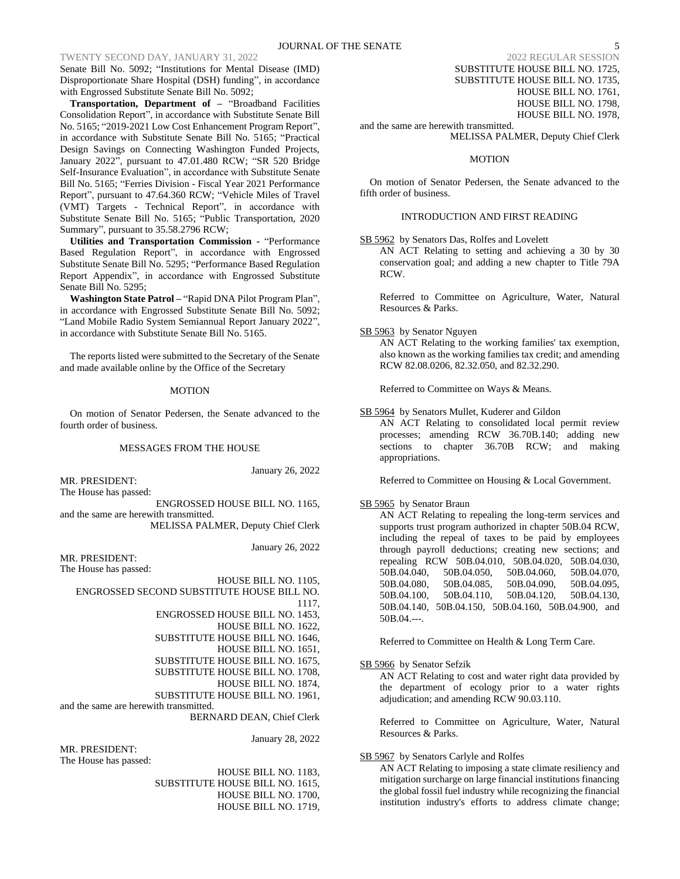# TWENTY SECOND DAY, JANUARY 31, 2022

Senate Bill No. 5092; "Institutions for Mental Disease (IMD) Disproportionate Share Hospital (DSH) funding", in accordance with Engrossed Substitute Senate Bill No. 5092;

**Transportation, Department of –** "Broadband Facilities Consolidation Report", in accordance with Substitute Senate Bill No. 5165; "2019-2021 Low Cost Enhancement Program Report", in accordance with Substitute Senate Bill No. 5165; "Practical Design Savings on Connecting Washington Funded Projects, January 2022", pursuant to 47.01.480 RCW; "SR 520 Bridge Self-Insurance Evaluation", in accordance with Substitute Senate Bill No. 5165; "Ferries Division - Fiscal Year 2021 Performance Report", pursuant to 47.64.360 RCW; "Vehicle Miles of Travel (VMT) Targets - Technical Report", in accordance with Substitute Senate Bill No. 5165; "Public Transportation, 2020 Summary", pursuant to 35.58.2796 RCW;

**Utilities and Transportation Commission -** "Performance Based Regulation Report", in accordance with Engrossed Substitute Senate Bill No. 5295; "Performance Based Regulation Report Appendix", in accordance with Engrossed Substitute Senate Bill No. 5295;

**Washington State Patrol –** "Rapid DNA Pilot Program Plan", in accordance with Engrossed Substitute Senate Bill No. 5092; "Land Mobile Radio System Semiannual Report January 2022", in accordance with Substitute Senate Bill No. 5165.

The reports listed were submitted to the Secretary of the Senate and made available online by the Office of the Secretary

#### MOTION

On motion of Senator Pedersen, the Senate advanced to the fourth order of business.

#### MESSAGES FROM THE HOUSE

January 26, 2022

MR. PRESIDENT: The House has passed:

ENGROSSED HOUSE BILL NO. 1165, and the same are herewith transmitted. MELISSA PALMER, Deputy Chief Clerk

January 26, 2022

MR. PRESIDENT:

The House has passed:

HOUSE BILL NO. 1105, ENGROSSED SECOND SUBSTITUTE HOUSE BILL NO. 1117,

- 
- ENGROSSED HOUSE BILL NO. 1453, HOUSE BILL NO. 1622,
- SUBSTITUTE HOUSE BILL NO. 1646,
	- HOUSE BILL NO. 1651,
- SUBSTITUTE HOUSE BILL NO. 1675,
- SUBSTITUTE HOUSE BILL NO. 1708,
- HOUSE BILL NO. 1874,
- SUBSTITUTE HOUSE BILL NO. 1961,

and the same are herewith transmitted.

BERNARD DEAN, Chief Clerk

January 28, 2022

MR. PRESIDENT: The House has passed:

HOUSE BILL NO. 1183, SUBSTITUTE HOUSE BILL NO. 1615, HOUSE BILL NO. 1700, HOUSE BILL NO. 1719,

SUBSTITUTE HOUSE BILL NO. 1725, SUBSTITUTE HOUSE BILL NO. 1735, HOUSE BILL NO. 1761, HOUSE BILL NO. 1798, HOUSE BILL NO. 1978,

and the same are herewith transmitted. MELISSA PALMER, Deputy Chief Clerk

### **MOTION**

On motion of Senator Pedersen, the Senate advanced to the fifth order of business.

INTRODUCTION AND FIRST READING

SB 5962 by Senators Das, Rolfes and Lovelett

AN ACT Relating to setting and achieving a 30 by 30 conservation goal; and adding a new chapter to Title 79A RCW.

Referred to Committee on Agriculture, Water, Natural Resources & Parks.

SB 5963 by Senator Nguyen

AN ACT Relating to the working families' tax exemption, also known as the working families tax credit; and amending RCW 82.08.0206, 82.32.050, and 82.32.290.

Referred to Committee on Ways & Means.

SB 5964 by Senators Mullet, Kuderer and Gildon

AN ACT Relating to consolidated local permit review processes; amending RCW 36.70B.140; adding new sections to chapter 36.70B RCW; and making appropriations.

Referred to Committee on Housing & Local Government.

### SB 5965 by Senator Braun

AN ACT Relating to repealing the long-term services and supports trust program authorized in chapter 50B.04 RCW, including the repeal of taxes to be paid by employees through payroll deductions; creating new sections; and repealing RCW 50B.04.010, 50B.04.020, 50B.04.030, 50B.04.040, 50B.04.050, 50B.04.060, 50B.04.070, 50B.04.080, 50B.04.085, 50B.04.090, 50B.04.095, 50B.04.100, 50B.04.110, 50B.04.120, 50B.04.130, 50B.04.140, 50B.04.150, 50B.04.160, 50B.04.900, and 50B.04.---.

Referred to Committee on Health & Long Term Care.

SB 5966 by Senator Sefzik

AN ACT Relating to cost and water right data provided by the department of ecology prior to a water rights adjudication; and amending RCW 90.03.110.

Referred to Committee on Agriculture, Water, Natural Resources & Parks.

# SB 5967 by Senators Carlyle and Rolfes

AN ACT Relating to imposing a state climate resiliency and mitigation surcharge on large financial institutions financing the global fossil fuel industry while recognizing the financial institution industry's efforts to address climate change;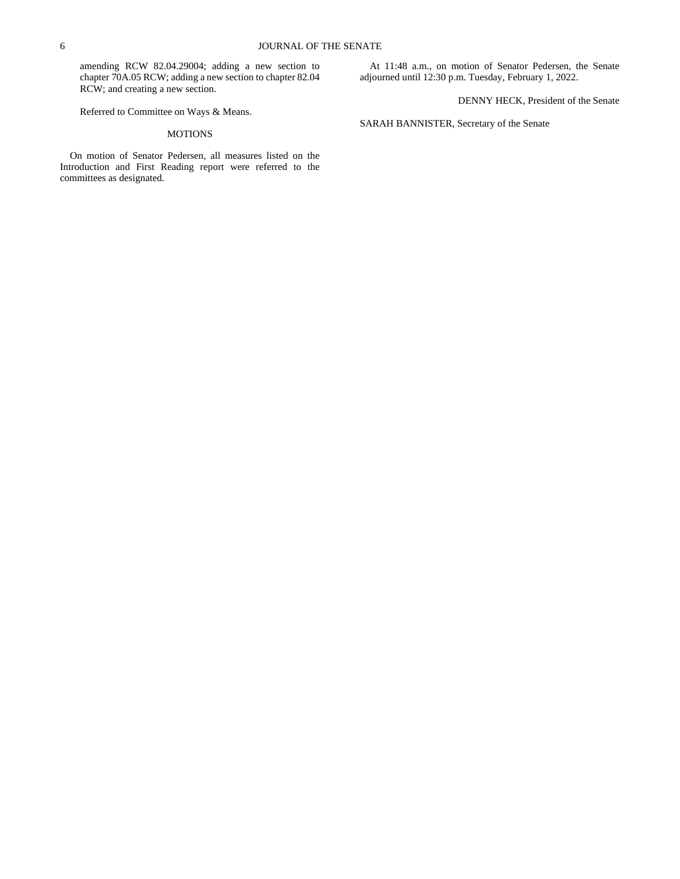amending RCW 82.04.29004; adding a new section to chapter 70A.05 RCW; adding a new section to chapter 82.04 RCW; and creating a new section.

Referred to Committee on Ways & Means.

# MOTIONS

On motion of Senator Pedersen, all measures listed on the Introduction and First Reading report were referred to the committees as designated.

At 11:48 a.m., on motion of Senator Pedersen, the Senate adjourned until 12:30 p.m. Tuesday, February 1, 2022.

DENNY HECK, President of the Senate

SARAH BANNISTER, Secretary of the Senate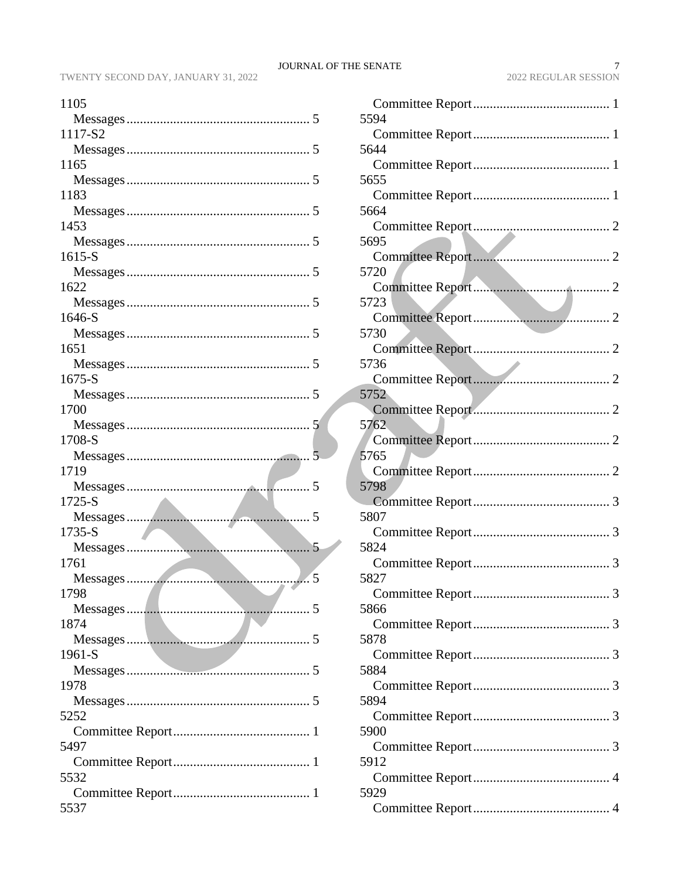| 1105                             |
|----------------------------------|
|                                  |
| 1117-S2                          |
|                                  |
| 1165                             |
|                                  |
| 1183                             |
|                                  |
| 1453                             |
|                                  |
| $1615-S$                         |
|                                  |
| 1622                             |
|                                  |
| 1646-S                           |
|                                  |
| 1651                             |
|                                  |
| $1675-S$                         |
|                                  |
| 1700                             |
|                                  |
| 1708-S                           |
|                                  |
|                                  |
| 1719                             |
|                                  |
| 1725-S                           |
|                                  |
| 1735-S                           |
| 5                                |
| 1761                             |
|                                  |
| 1798                             |
| 1874<br>$\overline{\phantom{a}}$ |
|                                  |
| 1961-S                           |
|                                  |
| 1978                             |
|                                  |
| 5252                             |
|                                  |
| 5497                             |
|                                  |
| 5532                             |
|                                  |

| 5594 |
|------|
|      |
| 5644 |
| 5655 |
|      |
| 5664 |
|      |
| 5695 |
|      |
| 5720 |
|      |
| 5723 |
|      |
| 5730 |
| 5736 |
|      |
| 5752 |
|      |
| 5762 |
|      |
| 5765 |
|      |
| 5798 |
|      |
| 5807 |
|      |
| 5824 |
| 5827 |
|      |
| 5866 |
|      |
| 5878 |
|      |
| 5884 |
|      |
| 5894 |
| 5900 |
|      |
| 5912 |
|      |
| 5929 |
|      |